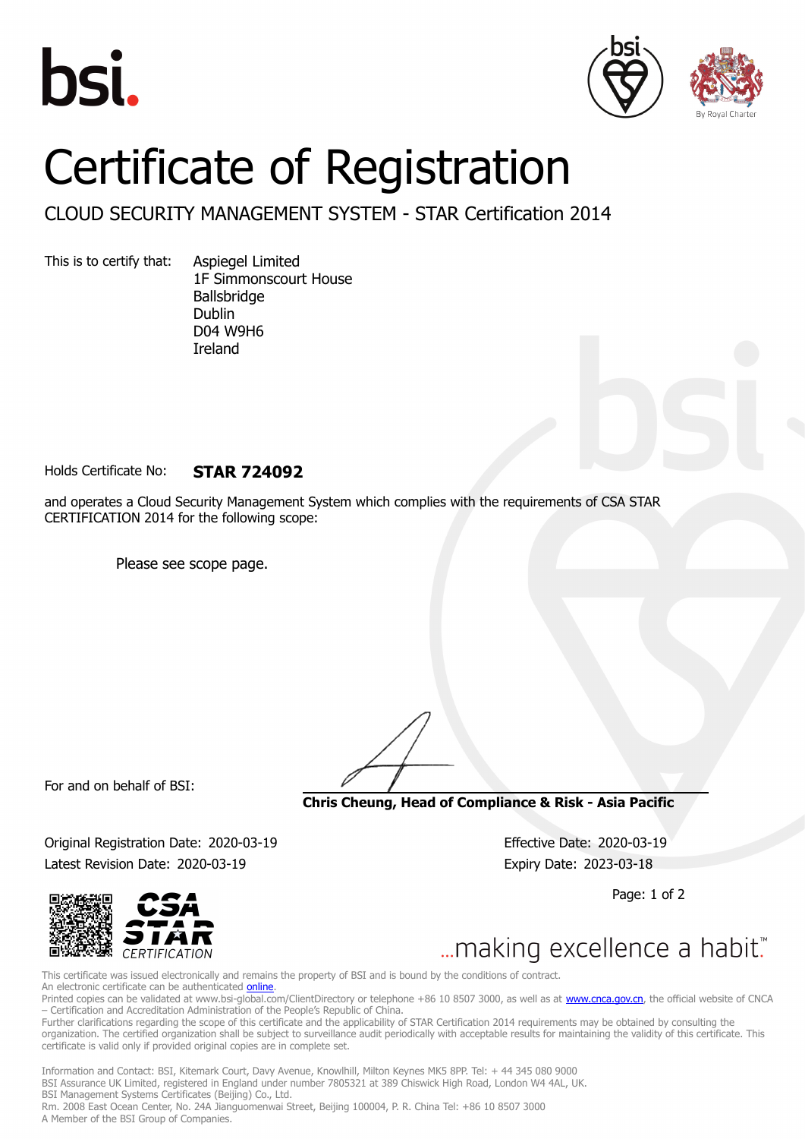





## Certificate of Registration

CLOUD SECURITY MANAGEMENT SYSTEM - STAR Certification 2014

This is to certify that: Aspiegel Limited

1F Simmonscourt House Ballsbridge Dublin D04 W9H6 Ireland

Holds Certificate No: **STAR 724092**

and operates a Cloud Security Management System which complies with the requirements of CSA STAR CERTIFICATION 2014 for the following scope:

Please see scope page.

For and on behalf of BSI:

**Chris Cheung, Head of Compliance & Risk - Asia Pacific**

Original Registration Date: 2020-03-19 Effective Date: 2020-03-19 Latest Revision Date: 2020-03-19 Expiry Date: 2023-03-18

Page: 1 of 2



... making excellence a habit."

This certificate was issued electronically and remains the property of BSI and is bound by the conditions of contract. An electronic certificate can be authenticated [online](https://pgplus.bsigroup.com/CertificateValidation/CertificateValidator.aspx?CertificateNumber=STAR+724092&ReIssueDate=19%2f03%2f2020&Template=cnen). Printed copies can be validated at www.bsi-global.com/ClientDirectory or telephone +86 10 8507 3000, as well as at [www.cnca.gov.cn,](www.cnca.gov.cn) the official website of CNCA – Certification and Accreditation Administration of the People's Republic of China.

Further clarifications regarding the scope of this certificate and the applicability of STAR Certification 2014 requirements may be obtained by consulting the organization. The certified organization shall be subject to surveillance audit periodically with acceptable results for maintaining the validity of this certificate. This certificate is valid only if provided original copies are in complete set.

Information and Contact: BSI, Kitemark Court, Davy Avenue, Knowlhill, Milton Keynes MK5 8PP. Tel: + 44 345 080 9000 BSI Assurance UK Limited, registered in England under number 7805321 at 389 Chiswick High Road, London W4 4AL, UK. BSI Management Systems Certificates (Beijing) Co., Ltd. Rm. 2008 East Ocean Center, No. 24A Jianguomenwai Street, Beijing 100004, P. R. China Tel: +86 10 8507 3000 A Member of the BSI Group of Companies.